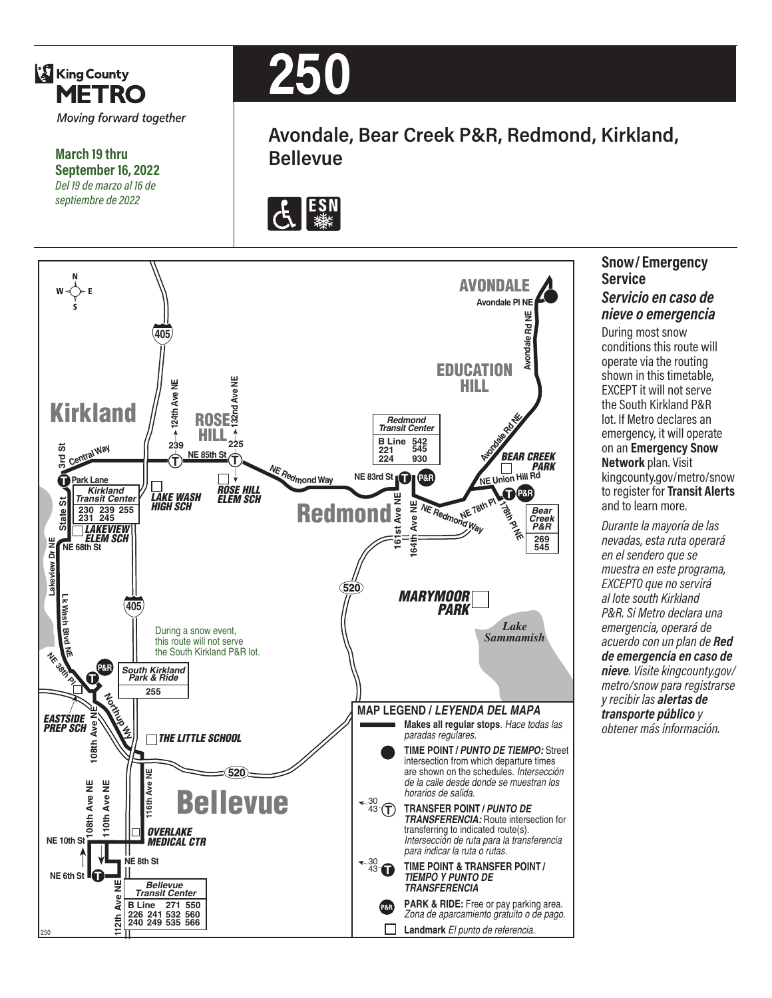

**March 19 thru September 16, 2022** *Del 19 de marzo al 16 de septiembre de 2022*

# **250**

**Avondale, Bear Creek P&R, Redmond, Kirkland, Bellevue**





### **Snow/ Emergency Service**

#### *Servicio en caso de nieve o emergencia*

During most snow conditions this route will operate via the routing shown in this timetable, EXCEPT it will not serve the South Kirkland P&R lot. If Metro declares an emergency, it will operate on an **Emergency Snow Network** plan. Visit kingcounty.gov/metro/snow to register for **Transit Alerts** and to learn more.

*Durante la mayoría de las nevadas, esta ruta operará en el sendero que se muestra en este programa, EXCEPTO que no servirá al lote south Kirkland P&R. Si Metro declara una emergencia, operará de acuerdo con un plan de Red de emergencia en caso de nieve. Visite kingcounty.gov/ metro/snow para registrarse y recibir las alertas de transporte público y obtener más información.*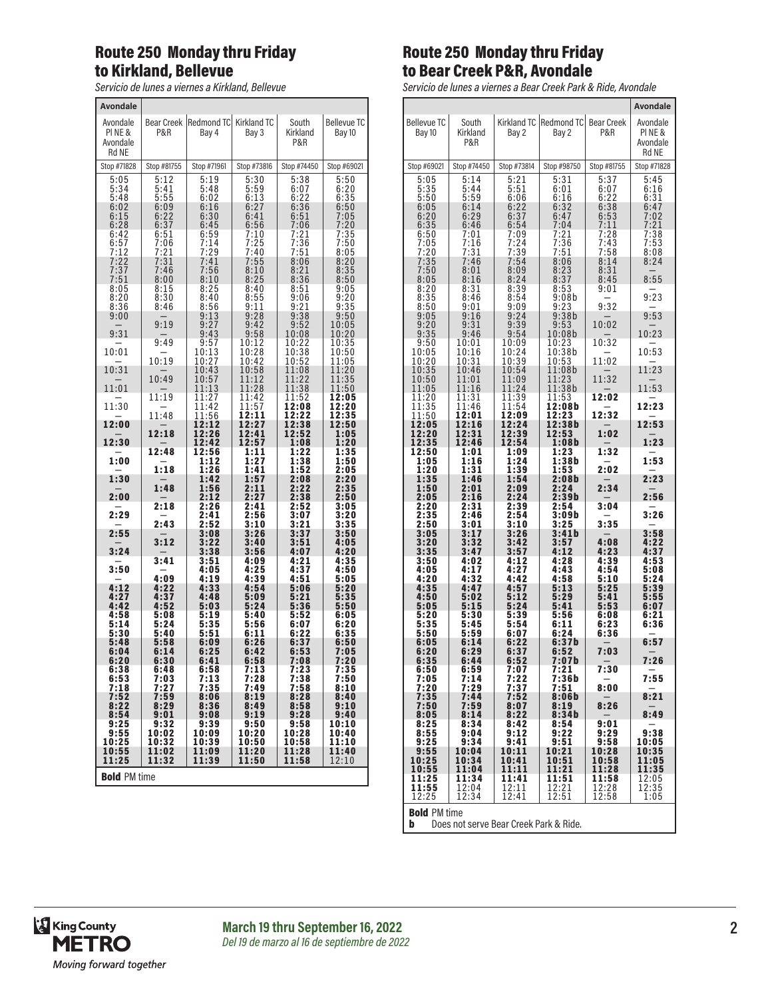#### Route 250 Monday thru Friday to Kirkland, Bellevue

*Servicio de lunes a viernes a Kirkland, Bellevue*

| <b>Avondale</b>                              |                                              |                                              |                                              |                                              |                                              |
|----------------------------------------------|----------------------------------------------|----------------------------------------------|----------------------------------------------|----------------------------------------------|----------------------------------------------|
| Avondale<br>PINE&<br>Avondale<br>Rd NE       | P&R                                          | Bear Creek   Redmond TC  <br>Bay 4           | Kirkland TC<br>Bay 3                         | South<br>Kirkland<br>P&R                     | <b>Bellevue TC</b><br>Bay 10                 |
| Stop #71828                                  | Stop #81755                                  | Stop #71961                                  | Stop #73816                                  | Stop #74450                                  | Stop #69021                                  |
| 5:05<br>5:34<br>5:48<br>6:02<br>6:15<br>6:28 | 5:12<br>5:41<br>5:55<br>6:09<br>6:22<br>6:37 | 5:19<br>5:48<br>6:02<br>6:16<br>6:30<br>6:45 | 5:30<br>5:59<br>6:13<br>6:27<br>6:41<br>6:56 | 5:38<br>6:07<br>6:22<br>6:36<br>6:51<br>7:06 | 5:50<br>6:20<br>6:35<br>6:50<br>7:05<br>7:20 |
| 6:42<br>6:57<br>7:12                         | 6:51<br>7:06<br>7:21                         | 6:59<br>7:14<br>7:29                         | 7:10<br>7:25<br>7:40                         | 7:21<br>7:36<br>7:51                         | 7:35<br>7:50<br>8:05                         |
| 7:22<br>7:37<br>7:51<br>8:05                 | 7:31<br>7:46<br>8:00<br>8:15                 | 7:41<br>7:56<br>8:10<br>8:25                 | 7:55<br>8:10<br>8:25<br>8:40                 | 8:06<br>8:21<br>8:36<br>8:51                 | 8:20<br>8:35<br>8:50<br>9:05                 |
| 8:20<br>8:36<br>9:00                         | 8:30<br>8:46<br>9:19                         | 8:40<br>8:56<br>9:13<br>9:27                 | 8:55<br>9:11<br>9:28<br>9:42                 | 9:06<br>9:21<br>9:38<br>9:52                 | 9:20<br>9:35<br>9:50<br>10:05                |
| 9:31<br>10:01                                | 9:49                                         | 9:43<br>9:57<br>10:13                        | 9:58<br>10:12<br>10:28                       | 10:08<br>10:22<br>10:38                      | 10:20<br>10:35<br>10:50                      |
| 10:31<br>11:01                               | 10:19<br>10:49                               | 10:27<br>10:43<br>10:57<br>11:13             | 10:42<br>10:58<br>11:12<br>11:28             | 10:52<br>11:08<br>11:22<br>11:38             | 11:05<br>11:20<br>11:35<br>11:50             |
| 11:30<br>12:00                               | 11:19<br>11:48                               | 11:27<br>11:42<br>11:56<br>12:12             | 11:42<br>11:57<br>12:11<br>12:27             | 11:52<br>12:08<br>12:22<br>12:38             | 12:05<br>12:20<br>12:35<br>12:50             |
| 12:30                                        | 12:18                                        | 12:26<br>12:42                               | 12:41<br>12:57                               | 12:52<br>1:08                                | 1:05<br>1:20                                 |
| 1:00                                         | 12:48                                        | 12:56<br>1:12                                | 1:11<br>1:27                                 | 1:22<br>1:38                                 | 1:35<br>1:50                                 |
| 1:30                                         | 1:18<br>1:48                                 | 1:26<br>1:42<br>1:56                         | 1:41<br>1:57<br>2:11                         | 1:52<br>2:08<br>2:22                         | 2:05<br>2:20<br>2:35                         |
| 2:00<br>2:29                                 | 2:18<br>2:43                                 | 2:12<br>2:26<br>2:41<br>2:52                 | 2:27<br>2:41<br>2:56<br>3:10                 | 2:38<br>2:52<br>3:07<br>3:21                 | 2:50<br>3:05<br>3:20<br>3:35                 |
| 2:55<br>3:24                                 | 3:12                                         | 3:08<br>3:22<br>3:38                         | 3:26<br>3:40<br>3:56                         | 3:37<br>3:51<br>4:07                         | 3:50<br>4:05<br>4:20                         |
| 3:50<br>4:12                                 | 3:41<br>4:09<br>4:22                         | 3:51<br>4:05<br>4:19<br>4:33                 | 4:09<br>4:25<br>4:39<br>4:54                 | 4:21<br>4:37<br>4:51<br>5:06                 | 4:35<br>4:50<br>5:05<br>5:20                 |
| 4:27<br>4:42<br>4:58                         | 4:37<br>4:52<br>5:08                         | 4:48<br>5:03<br>5:19                         | 5:09<br>5:24<br>5:40                         | 5:21<br>5:36<br>5:52                         | 5:35<br>5:50<br>6:05                         |
| 5:14<br>5:30<br>5:48<br>6:04                 | 5:24<br>5:40<br>5:58<br>6:14                 | 5:35<br>5:51<br>6:09<br>6:25                 | 5:56<br>6:11<br>6:26<br>6:42                 | 6:07<br>6:22<br>6:37<br>6:53                 | 6:20<br>6:35<br>6:50<br>7:05                 |
| 6:20<br>6:38<br>6:53                         | 6:30<br>6:48<br>7:03                         | 6:41<br>6:58<br>7:13                         | 6:58<br>7:13<br>7:28                         | 7:08<br>7:23<br>7:38                         | 7:20<br>7:35<br>7:50                         |
| 7:18<br>7:52<br>8:22                         | 7:27<br>7:59<br>8:29<br>9:01                 | 7:35<br>8:06<br>8:36<br>9:08                 | 7:49<br>8:19<br>8:49<br>9:19                 | 7:58<br>8:28<br>8:58<br>9:28                 | 8:10<br>8:40<br>9:10<br>9:40                 |
| 8:54<br>9:25<br>9:55<br>10:25<br>10:55       | 9:32<br>10:02<br>10:32<br>11:02              | 9:39<br>10:09<br>10:39<br>11:09              | 9:50<br>10:20<br>10:50                       | 9:58<br>10:28<br>10:58<br>11:28              | 10:10<br>10:40<br>11:10<br>11:40             |
| 11:25<br><b>Bold PM time</b>                 | 11:32                                        | 11:39                                        | 11:20<br>11:50                               | 11:58                                        | 12:10                                        |

#### Route 250 Monday thru Friday to Bear Creek P&R, Avondale

*Servicio de lunes a viernes a Bear Creek Park & Ride, Avondale*

|                                      |                                          |                                      |                                      |                                      | <b>Avondale</b>                                       |
|--------------------------------------|------------------------------------------|--------------------------------------|--------------------------------------|--------------------------------------|-------------------------------------------------------|
| <b>Bellevue TC</b><br>Bay 10         | South<br>Kirkland<br>P&R                 | Kirkland TC<br>Bay 2                 | Redmond TC<br>Bay 2                  | <b>Bear Creek</b><br>P&R             | Avondale<br>PINE&<br>Avondale<br>Rd NE                |
| Stop #69021                          | Stop #74450                              | Stop #73814                          | Stop #98750                          | Stop #81755                          | Stop #71828                                           |
| 5:05<br>5:35<br>5:50<br>6:05<br>6:20 | 5:14<br>5:44<br>$5:59$<br>$6:14$<br>6:29 | 5:21<br>5:51<br>6:06<br>6:22<br>6:37 | 5:31<br>6:01<br>6:16<br>6:32<br>6:47 | 5:37<br>6:07<br>6:22<br>6:38<br>6:53 | 5:45<br>6:16<br>6:31<br>6:47<br>7:02                  |
| 6:35<br>6:50<br>7:05<br>7:20<br>7:35 | 6:46<br>7:01<br>7:16<br>7:31<br>7:46     | 6:54<br>7:09<br>7:24<br>7:39<br>7:54 | 7:04<br>7:21<br>$7:36$<br>$7:51$     | 7:11<br>7:28<br>7:43<br>7:58<br>8:14 | 7:21<br>7:38<br>$7:53$<br>$8:08$<br>8:24              |
| 7:50<br>8:05                         | 8:01<br>8:16                             | 8:09<br>8:24                         | 8:06<br>8:23<br>8:37                 | 8:31<br>8:45                         | 8:55                                                  |
| 8:20<br>8:35<br>8:50                 | 8:31<br>8:46<br>9:01                     | 8:39<br>8:54<br>9:09                 | 8:53<br>9:08b<br>9:23                | 9:01<br>9:32                         | 9:23                                                  |
| 9:05<br>9:20<br>9:35                 | 9:16<br>9:31<br>9:46                     | 9:24<br>9:39<br>9:54                 | 9:38b<br>9:53<br>10:08b              | 10:02                                | 9:53<br>10:23                                         |
| 9:50<br>10:05<br>10:20               | 10:01<br>10:16<br>10:31                  | 10:09<br>10:24<br>10:39              | 10:23<br>10:38b<br>10:53             | 10:32<br>11:02                       | 10:53                                                 |
| 10:35<br>10:50<br>11:05              | 10:46<br>11:01<br>11:16                  | 10:54<br>11:09<br>11:24              | 11:08b<br>11:23<br>11:38b            | 11:32                                | 11:23<br>11:53                                        |
| 11:20<br>$1\bar{1}$ :35<br>11:50     | 11:31<br>11:46<br>12:01                  | 11:39<br>11:54<br>12:09              | 11:53<br>12:08b<br>12:23             | 12:02<br>12:32                       | 12:23                                                 |
| 12:05<br>12:20                       | 12:16<br>12:31                           | 12:24<br>12:39                       | 12:38b<br>12:53                      | 1:02                                 | 12:53                                                 |
| 12:35<br>12:50<br>1:05               | 12:46<br>1:01<br>1:16                    | 12:54<br>1:09<br>1:24                | 1:08b<br>1:23<br>1:38b               | 1:32                                 | 1:23<br>1:53                                          |
| 1:20<br>1:35<br>1:50                 | 1:31<br>1:46<br>2:01                     | 1:39<br>1:54<br>2:09                 | 1:53<br>2:08b<br>2:24                | 2:02<br>2:34                         | 2:23                                                  |
| 2:05<br>2:20                         | 2:16<br>2:31                             | 2:24<br>2:39                         | 2:39b<br>2:54                        | 3:04                                 | 2:56                                                  |
| 2:35<br>2:50<br>3:05                 | 2:46<br>3:01<br>3:17                     | 2:54<br>3:10<br>3:26                 | 3:09b<br>3:25<br>3:41b               | 3:35                                 | 3:26<br>3:58                                          |
| 3:20<br>3:35<br>3:50<br>4:05         | 3:32<br>3:47<br>4:02<br>4:17             | 3:42<br>3:57<br>4:12<br>4:27         | 3:57<br>4:12<br>4:28<br>4:43         | 4:08<br>4:23<br>4:39<br>4:54         | 4:22<br>4:37<br>4:53<br>5:08                          |
| 4:20<br>4:35<br>4:50                 | 4:32<br>4:47<br>5:02                     | 4:42<br>4:57<br>5:12                 | 4:58<br>5:13<br>5:29                 | 5:10<br>5:25<br>5:41                 | 5:24<br>5:39<br>5:55                                  |
| 5:05<br>5:20<br>5:35<br>5:50         | 5:15<br>5:30<br>5:45<br>5:59             | 5:24<br>5:39<br>5:54<br>6:07         | 5:41<br>5:56<br>6:11<br>6:24         | 5:53<br>6:08<br>6:23<br>6:36         | 6:07<br>6:21<br>6:36                                  |
| 6:05<br>6:20<br>b:35                 | 6:14<br>6:29<br>b:44                     | 6:22<br>6:37<br>9:97                 | 6:37b<br>6:52<br>7:07b               | 7:03                                 | 6:57<br>7:26                                          |
| 6:50<br>7:05<br>7:20                 | 6:59<br>7:14<br>7:29                     | 7:07<br>7:22<br>7:37                 | 7:21<br>7:36b<br>7:51                | 7:30<br>8:00                         | 7:55                                                  |
| 7:35<br>7:50<br>8:05                 | 7:44<br>7:59<br>8:14                     | 7:52<br>8:07<br>8:22                 | 8:06b<br>8:19<br>8:34b               | 8:26                                 | 8:21<br>8:49                                          |
| 8:25<br>8:55<br>9:25                 | 8:34<br>9:04<br>9:34                     | 8:42<br>9:12<br>9:41                 | 8:54<br>9:22<br>9:51                 | 9:01<br>9:29<br>9:58                 | 9:38<br>10:05                                         |
| 9:55<br>10:25<br>10:55               | 10:04<br>10:34<br>11:04                  | 10:11<br>10:41<br>11:11              | 10:21<br>10:51<br>11:21              | 10:28<br>10:58<br>11:28              | 10:35<br>11:05<br>11:35                               |
| 11:25<br>$11:55$<br>$12:25$          | 11:34<br>12:04<br>12:34                  | 11:41<br>12:11<br>12:41              | 11:51<br>12:21<br>12:51              | 11:58<br>12:28<br>12:58              | 12:05<br>$\begin{array}{c} 12:35 \\ 1:05 \end{array}$ |

**Bold** PM time<br>**b** Does not b Does not serve Bear Creek Park & Ride.

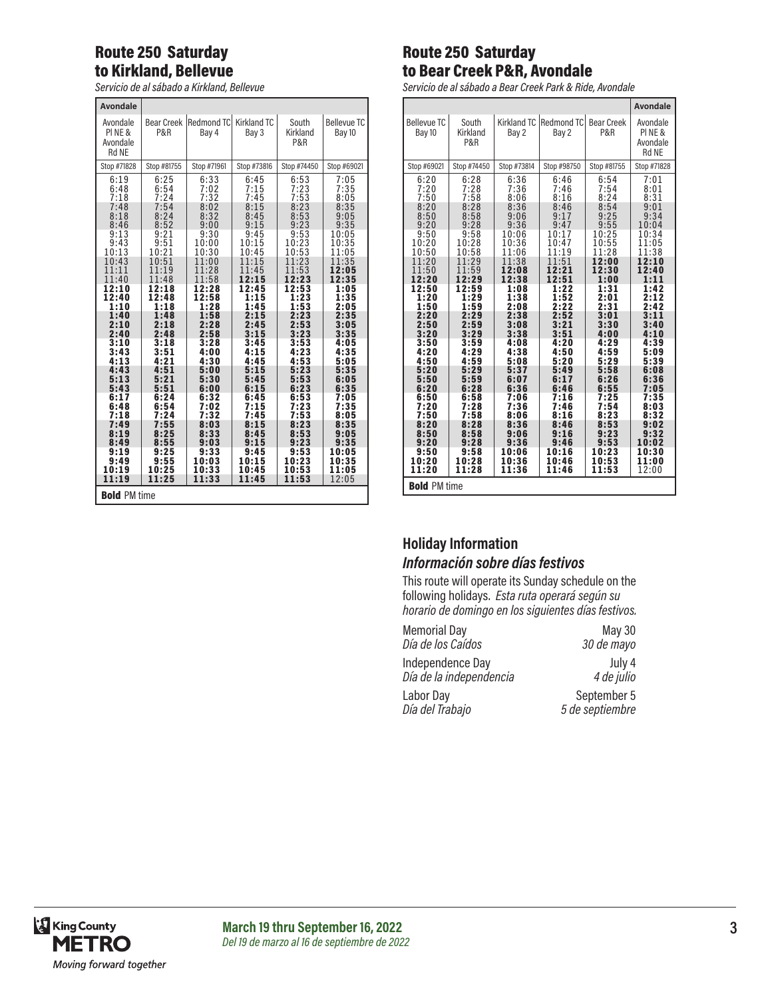#### Route 250 Saturday to Kirkland, Bellevue

*Servicio de al sábado a Kirkland, Bellevue*

| <b>Avondale</b>                                                                                                            |                                                                                                                            |                                                                                                                             |                                                                                                                            |                                                                                                                              |                                                                                                                            |  |  |  |  |
|----------------------------------------------------------------------------------------------------------------------------|----------------------------------------------------------------------------------------------------------------------------|-----------------------------------------------------------------------------------------------------------------------------|----------------------------------------------------------------------------------------------------------------------------|------------------------------------------------------------------------------------------------------------------------------|----------------------------------------------------------------------------------------------------------------------------|--|--|--|--|
| Avondale<br>PINE&<br>Avondale<br><b>Rd NE</b>                                                                              | <b>Bear Creek</b><br><b>P&amp;R</b>                                                                                        | Redmond TC<br>Bay 4                                                                                                         | Kirkland TC<br>Bay 3                                                                                                       | South<br>Kirkland<br>P&R                                                                                                     | <b>Bellevue TC</b><br>Bay 10                                                                                               |  |  |  |  |
| Stop #71828                                                                                                                | Stop #81755                                                                                                                | Stop #71961                                                                                                                 | Stop #73816                                                                                                                | Stop #74450                                                                                                                  | Stop #69021                                                                                                                |  |  |  |  |
| 6:19<br>6:48<br>7:18<br>7:48<br>8:18<br>8:46<br>9:13<br>9:43<br>10:13<br>10:43<br>11:11<br>11:40<br>12:10<br>12:40<br>1:10 | 6:25<br>6:54<br>7:24<br>7:54<br>8:24<br>8:52<br>9:21<br>9:51<br>10:21<br>10:51<br>11:19<br>11:48<br>12:18<br>12:48<br>1:18 | 6:33<br>7:02<br>7:32<br>8:02<br>8:32<br>9:00<br>9:30<br>10:00<br>10:30<br>11:00<br>11:28<br>11:58<br>12:28<br>12:58<br>1:28 | 6:45<br>7:15<br>7:45<br>8:15<br>8:45<br>9:15<br>9:45<br>10:15<br>10:45<br>11:15<br>11:45<br>12:15<br>12:45<br>1:15<br>1:45 | $6:53$<br>7:23<br>7:53<br>8:23<br>8:53<br>9:23<br>9:53<br>10:23<br>10:53<br>11:23<br>11:53<br>12:23<br>12:53<br>1:23<br>1:53 | 7:05<br>7:35<br>8:05<br>8:35<br>9:05<br>9:35<br>10:05<br>10:35<br>11:05<br>11:35<br>12:05<br>12:35<br>1:05<br>1:35<br>2:05 |  |  |  |  |
| 1:40                                                                                                                       | 1:48                                                                                                                       | 1:58                                                                                                                        | 2:15                                                                                                                       | 2:23                                                                                                                         | 2:35                                                                                                                       |  |  |  |  |
| 2:10                                                                                                                       | 2:18                                                                                                                       | 2:28                                                                                                                        | 2:45                                                                                                                       | 2:53                                                                                                                         | 3:05                                                                                                                       |  |  |  |  |
| 2:40                                                                                                                       | 2:48                                                                                                                       | 2:58                                                                                                                        | 3:15                                                                                                                       | 3:23                                                                                                                         | 3:35                                                                                                                       |  |  |  |  |
| 3:10                                                                                                                       | 3:18                                                                                                                       | 3:28                                                                                                                        | 3:45                                                                                                                       | 3:53                                                                                                                         | 4:05                                                                                                                       |  |  |  |  |
| 3:43                                                                                                                       | 3:51                                                                                                                       | 4:00                                                                                                                        | 4:15                                                                                                                       | 4:23                                                                                                                         | 4:35                                                                                                                       |  |  |  |  |
| 4:13                                                                                                                       | 4:21                                                                                                                       | 4:30                                                                                                                        | 4:45                                                                                                                       | 4:53                                                                                                                         | 5:05                                                                                                                       |  |  |  |  |
| 4:43                                                                                                                       | 4:51                                                                                                                       | 5:00                                                                                                                        | 5:15                                                                                                                       | 5:23                                                                                                                         | 5:35                                                                                                                       |  |  |  |  |
| 5:13                                                                                                                       | 5:21                                                                                                                       | 5:30                                                                                                                        | 5:45                                                                                                                       | 5:53                                                                                                                         | 6:05                                                                                                                       |  |  |  |  |
| 5:43                                                                                                                       | 5:51                                                                                                                       | 6:00                                                                                                                        | 6:15                                                                                                                       | 6:23                                                                                                                         | 6:35                                                                                                                       |  |  |  |  |
| 6:17                                                                                                                       | 6:24                                                                                                                       | 6:32                                                                                                                        | 6:45                                                                                                                       | 6:53                                                                                                                         | 7:05                                                                                                                       |  |  |  |  |
| 6:48                                                                                                                       | 6:54                                                                                                                       | 7:02                                                                                                                        | 7:15                                                                                                                       | 7:23                                                                                                                         | 7:35                                                                                                                       |  |  |  |  |
| 7:18                                                                                                                       | 7:24                                                                                                                       | 7:32                                                                                                                        | 7:45                                                                                                                       | 7:53                                                                                                                         | 8:05                                                                                                                       |  |  |  |  |
| 7:49                                                                                                                       | 7:55                                                                                                                       | 8:03                                                                                                                        | 8:15                                                                                                                       | 8:23                                                                                                                         | 8:35                                                                                                                       |  |  |  |  |
| 8:19                                                                                                                       | 8:25                                                                                                                       | 8:33                                                                                                                        | 8:45                                                                                                                       | 8:53                                                                                                                         | 9:05                                                                                                                       |  |  |  |  |
| 8:49                                                                                                                       | 8:55                                                                                                                       | 9:03                                                                                                                        | 9:15                                                                                                                       | 9:23                                                                                                                         | 9:35                                                                                                                       |  |  |  |  |
| 9:19                                                                                                                       | 9:25                                                                                                                       | 9:33                                                                                                                        | 9:45                                                                                                                       | 9:53                                                                                                                         | 10:05                                                                                                                      |  |  |  |  |
| 9:49                                                                                                                       | 9:55                                                                                                                       | 10:03                                                                                                                       | 10:15                                                                                                                      | 10:23                                                                                                                        | 10:35                                                                                                                      |  |  |  |  |
| 10:19                                                                                                                      | 10:25                                                                                                                      | 10:33                                                                                                                       | 10:45                                                                                                                      | 10:53                                                                                                                        | 11:05                                                                                                                      |  |  |  |  |
| 11:19                                                                                                                      | 11:25                                                                                                                      | 11:33                                                                                                                       | 11:45                                                                                                                      | 11:53                                                                                                                        | 12:05                                                                                                                      |  |  |  |  |
|                                                                                                                            |                                                                                                                            |                                                                                                                             |                                                                                                                            | <b>Bold PM time</b>                                                                                                          |                                                                                                                            |  |  |  |  |

#### Route 250 Saturday to Bear Creek P&R, Avondale

*Servicio de al sábado a Bear Creek Park & Ride, Avondale*

|                                                                                                                                                                                                                    |                                                                                                                                                                                                                    |                                                                                                                                                                                                                    |                                                                                                                                                                                                                    |                                                                                                                                                                                                                   | <b>Avondale</b>                                                                                                                                                                                                    |
|--------------------------------------------------------------------------------------------------------------------------------------------------------------------------------------------------------------------|--------------------------------------------------------------------------------------------------------------------------------------------------------------------------------------------------------------------|--------------------------------------------------------------------------------------------------------------------------------------------------------------------------------------------------------------------|--------------------------------------------------------------------------------------------------------------------------------------------------------------------------------------------------------------------|-------------------------------------------------------------------------------------------------------------------------------------------------------------------------------------------------------------------|--------------------------------------------------------------------------------------------------------------------------------------------------------------------------------------------------------------------|
| <b>Bellevue TC</b><br>Bay 10                                                                                                                                                                                       | South<br>Kirkland<br>P&R                                                                                                                                                                                           | Kirkland TC<br>Bay 2                                                                                                                                                                                               | <b>Redmond TC</b><br>Bay 2                                                                                                                                                                                         | <b>Bear Creek</b><br>P&R                                                                                                                                                                                          | Avondale<br>PINE&<br>Avondale<br><b>Rd NE</b>                                                                                                                                                                      |
| Stop #69021                                                                                                                                                                                                        | Stop #74450                                                                                                                                                                                                        | Stop #73814                                                                                                                                                                                                        | Stop #98750                                                                                                                                                                                                        | Stop #81755                                                                                                                                                                                                       | Stop #71828                                                                                                                                                                                                        |
| 6:20<br>7:20<br>7:50<br>8:20<br>8:50<br>9:20<br>9:50<br>10:20<br>10:50<br>11:20<br>11:50<br>12:20<br>12:50<br>1:20<br>1:50<br>2:20<br>2:50<br>3:20<br>3:50<br>4:20<br>4:50<br>5:20<br>5:50<br>6:20<br>6:50<br>7:20 | 6:28<br>7:28<br>7:58<br>8:28<br>8:58<br>9:28<br>9:58<br>10:28<br>10:58<br>11:29<br>11:59<br>12:29<br>12:59<br>1:29<br>1:59<br>2:29<br>2:59<br>3:29<br>3:59<br>4:29<br>4:59<br>5:29<br>5:59<br>6:28<br>6:58<br>7:28 | 6:36<br>7:36<br>8:06<br>8:36<br>9:06<br>9:36<br>10:06<br>10:36<br>11:06<br>11:38<br>12:08<br>12:38<br>1:08<br>1:38<br>2:08<br>2:38<br>3:08<br>3:38<br>4:08<br>4:38<br>5:08<br>5:37<br>6:07<br>6:36<br>7:06<br>7:36 | 6:46<br>7:46<br>8:16<br>8:46<br>9:17<br>9:47<br>10:17<br>10:47<br>11:19<br>11:51<br>12:21<br>12:51<br>1:22<br>1:52<br>2:22<br>2:52<br>3:21<br>3:51<br>4:20<br>4:50<br>5:20<br>5:49<br>6:17<br>6:46<br>7:16<br>7:46 | 6:54<br>7:54<br>8:24<br>8:54<br>9:25<br>9:55<br>10:25<br>10:55<br>11:28<br>12:00<br>12:30<br>1:00<br>1:31<br>2:01<br>2:31<br>3:01<br>3:30<br>4:00<br>4:29<br>4:59<br>5:29<br>5:58<br>6:26<br>6:55<br>7:25<br>7:54 | 7:01<br>8:01<br>8:31<br>9:01<br>9:34<br>10:04<br>10:34<br>11:05<br>11:38<br>12:10<br>12:40<br>1:11<br>1:42<br>2:12<br>2:42<br>3:11<br>3:40<br>4:10<br>4:39<br>5:09<br>5:39<br>6:08<br>6:36<br>7:05<br>7:35<br>8:03 |
| 7:50<br>8:20<br>8:50                                                                                                                                                                                               | 7:58<br>8:28<br>8:58                                                                                                                                                                                               | 8:06<br>8:36<br>9:06                                                                                                                                                                                               | 8:16<br>8:46<br>9:16                                                                                                                                                                                               | 8:23<br>8:53<br>9:23                                                                                                                                                                                              | 8:32<br>9:02<br>9:32                                                                                                                                                                                               |
| 9:20                                                                                                                                                                                                               | 9:28                                                                                                                                                                                                               | 9:36                                                                                                                                                                                                               | 9:46                                                                                                                                                                                                               | 9:53                                                                                                                                                                                                              | 10:02                                                                                                                                                                                                              |
| 9:50<br>10:20<br>11:20                                                                                                                                                                                             | 9:58<br>10:28<br>11:28                                                                                                                                                                                             | 10:06<br>10:36<br>11:36                                                                                                                                                                                            | 10:16<br>10:46<br>11:46                                                                                                                                                                                            | 10:23<br>10:53<br>11:53                                                                                                                                                                                           | 10:30<br>11:00<br>12:00                                                                                                                                                                                            |
| <b>Bold PM time</b>                                                                                                                                                                                                |                                                                                                                                                                                                                    |                                                                                                                                                                                                                    |                                                                                                                                                                                                                    |                                                                                                                                                                                                                   |                                                                                                                                                                                                                    |

## **Holiday Information**

#### *Información sobre días festivos*

This route will operate its Sunday schedule on the following holidays. *Esta ruta operará según su horario de domingo en los siguientes días festivos.*

| <b>Memorial Day</b>     | May 30          |
|-------------------------|-----------------|
| Día de los Caídos       | 30 de mayo      |
| Independence Day        | July 4          |
| Día de la independencia | 4 de julio      |
| Labor Day               | September 5     |
| Día del Trabajo         | 5 de septiembre |